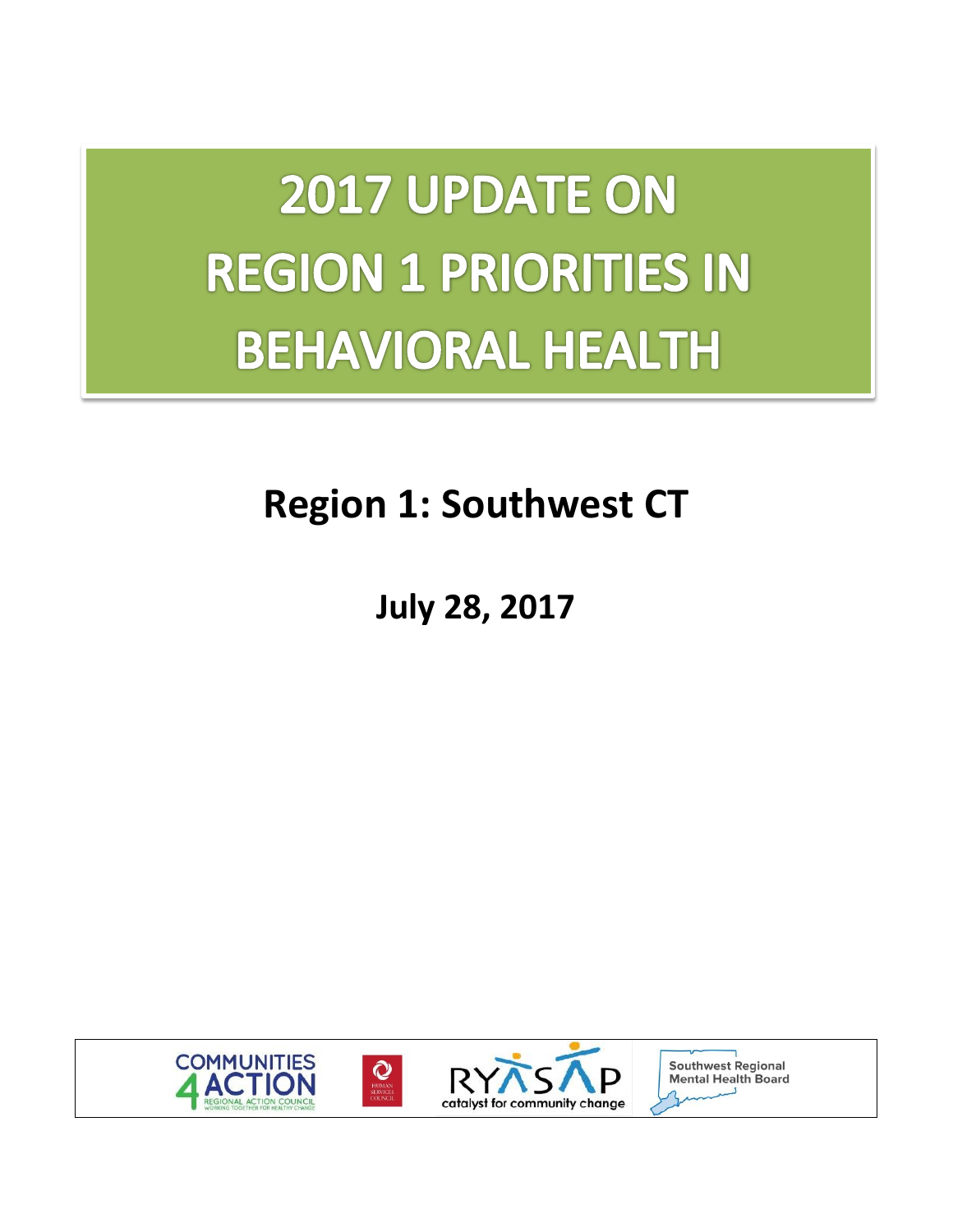2017 UPDATE ON **REGION 1 PRIORITIES IN BEHAVIORAL HEALTH** 

# **Region 1: Southwest CT**

# **July 28, 2017**



**Southwest Regional Mental Health Board**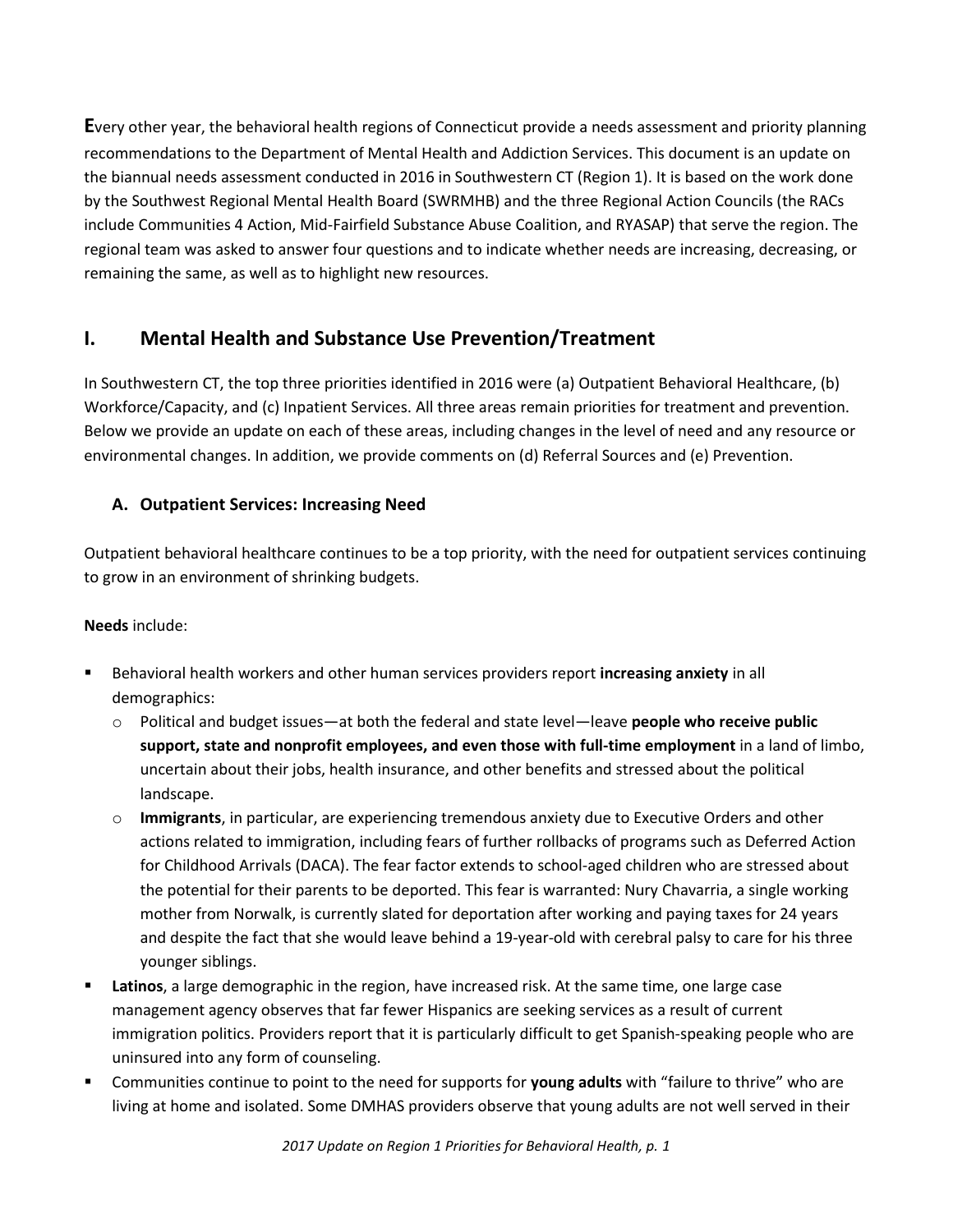**E**very other year, the behavioral health regions of Connecticut provide a needs assessment and priority planning recommendations to the Department of Mental Health and Addiction Services. This document is an update on the biannual needs assessment conducted in 2016 in Southwestern CT (Region 1). It is based on the work done by the Southwest Regional Mental Health Board (SWRMHB) and the three Regional Action Councils (the RACs include Communities 4 Action, Mid-Fairfield Substance Abuse Coalition, and RYASAP) that serve the region. The regional team was asked to answer four questions and to indicate whether needs are increasing, decreasing, or remaining the same, as well as to highlight new resources.

# **I. Mental Health and Substance Use Prevention/Treatment**

In Southwestern CT, the top three priorities identified in 2016 were (a) Outpatient Behavioral Healthcare, (b) Workforce/Capacity, and (c) Inpatient Services. All three areas remain priorities for treatment and prevention. Below we provide an update on each of these areas, including changes in the level of need and any resource or environmental changes. In addition, we provide comments on (d) Referral Sources and (e) Prevention.

#### **A. Outpatient Services: Increasing Need**

Outpatient behavioral healthcare continues to be a top priority, with the need for outpatient services continuing to grow in an environment of shrinking budgets.

#### **Needs** include:

- Behavioral health workers and other human services providers report **increasing anxiety** in all demographics:
	- o Political and budget issues—at both the federal and state level—leave **people who receive public support, state and nonprofit employees, and even those with full-time employment** in a land of limbo, uncertain about their jobs, health insurance, and other benefits and stressed about the political landscape.
	- o **Immigrants**, in particular, are experiencing tremendous anxiety due to Executive Orders and other actions related to immigration, including fears of further rollbacks of programs such as Deferred Action for Childhood Arrivals (DACA). The fear factor extends to school-aged children who are stressed about the potential for their parents to be deported. This fear is warranted: Nury Chavarria, a single working mother from Norwalk, is currently slated for deportation after working and paying taxes for 24 years and despite the fact that she would leave behind a 19-year-old with cerebral palsy to care for his three younger siblings.
- **Latinos**, a large demographic in the region, have increased risk. At the same time, one large case management agency observes that far fewer Hispanics are seeking services as a result of current immigration politics. Providers report that it is particularly difficult to get Spanish-speaking people who are uninsured into any form of counseling.
- Communities continue to point to the need for supports for **young adults** with "failure to thrive" who are living at home and isolated. Some DMHAS providers observe that young adults are not well served in their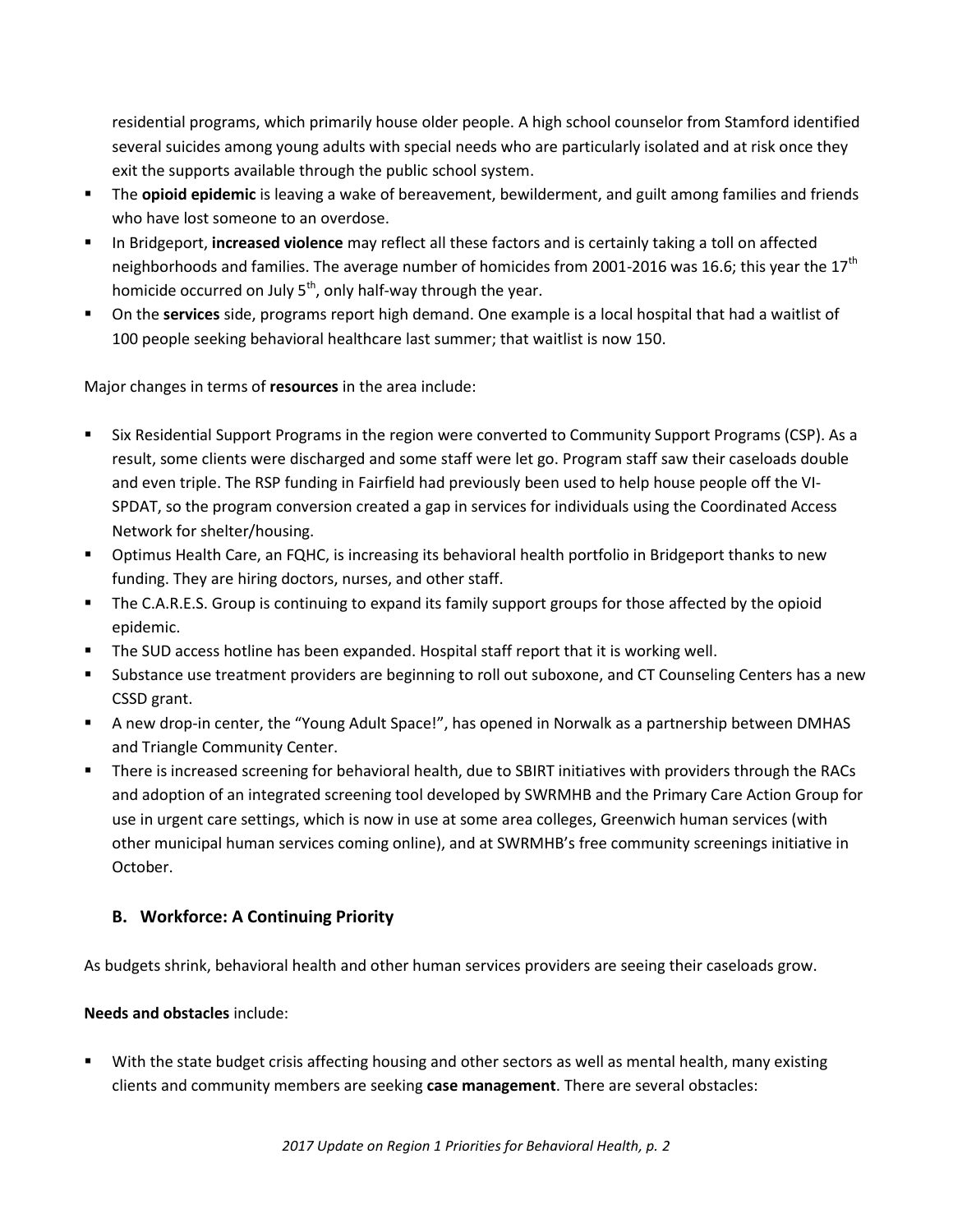residential programs, which primarily house older people. A high school counselor from Stamford identified several suicides among young adults with special needs who are particularly isolated and at risk once they exit the supports available through the public school system.

- The **opioid epidemic** is leaving a wake of bereavement, bewilderment, and guilt among families and friends who have lost someone to an overdose.
- In Bridgeport, **increased violence** may reflect all these factors and is certainly taking a toll on affected neighborhoods and families. The average number of homicides from 2001-2016 was 16.6; this year the 17<sup>th</sup> homicide occurred on July  $5<sup>th</sup>$ , only half-way through the year.
- On the **services** side, programs report high demand. One example is a local hospital that had a waitlist of 100 people seeking behavioral healthcare last summer; that waitlist is now 150.

Major changes in terms of **resources** in the area include:

- Six Residential Support Programs in the region were converted to Community Support Programs (CSP). As a result, some clients were discharged and some staff were let go. Program staff saw their caseloads double and even triple. The RSP funding in Fairfield had previously been used to help house people off the VI-SPDAT, so the program conversion created a gap in services for individuals using the Coordinated Access Network for shelter/housing.
- Optimus Health Care, an FQHC, is increasing its behavioral health portfolio in Bridgeport thanks to new funding. They are hiring doctors, nurses, and other staff.
- **The C.A.R.E.S. Group is continuing to expand its family support groups for those affected by the opioid** epidemic.
- The SUD access hotline has been expanded. Hospital staff report that it is working well.
- Substance use treatment providers are beginning to roll out suboxone, and CT Counseling Centers has a new CSSD grant.
- A new drop-in center, the "Young Adult Space!", has opened in Norwalk as a partnership between DMHAS and Triangle Community Center.
- There is increased screening for behavioral health, due to SBIRT initiatives with providers through the RACs and adoption of an integrated screening tool developed by SWRMHB and the Primary Care Action Group for use in urgent care settings, which is now in use at some area colleges, Greenwich human services (with other municipal human services coming online), and at SWRMHB's free community screenings initiative in October.

#### **B. Workforce: A Continuing Priority**

As budgets shrink, behavioral health and other human services providers are seeing their caseloads grow.

#### **Needs and obstacles** include:

 With the state budget crisis affecting housing and other sectors as well as mental health, many existing clients and community members are seeking **case management**. There are several obstacles: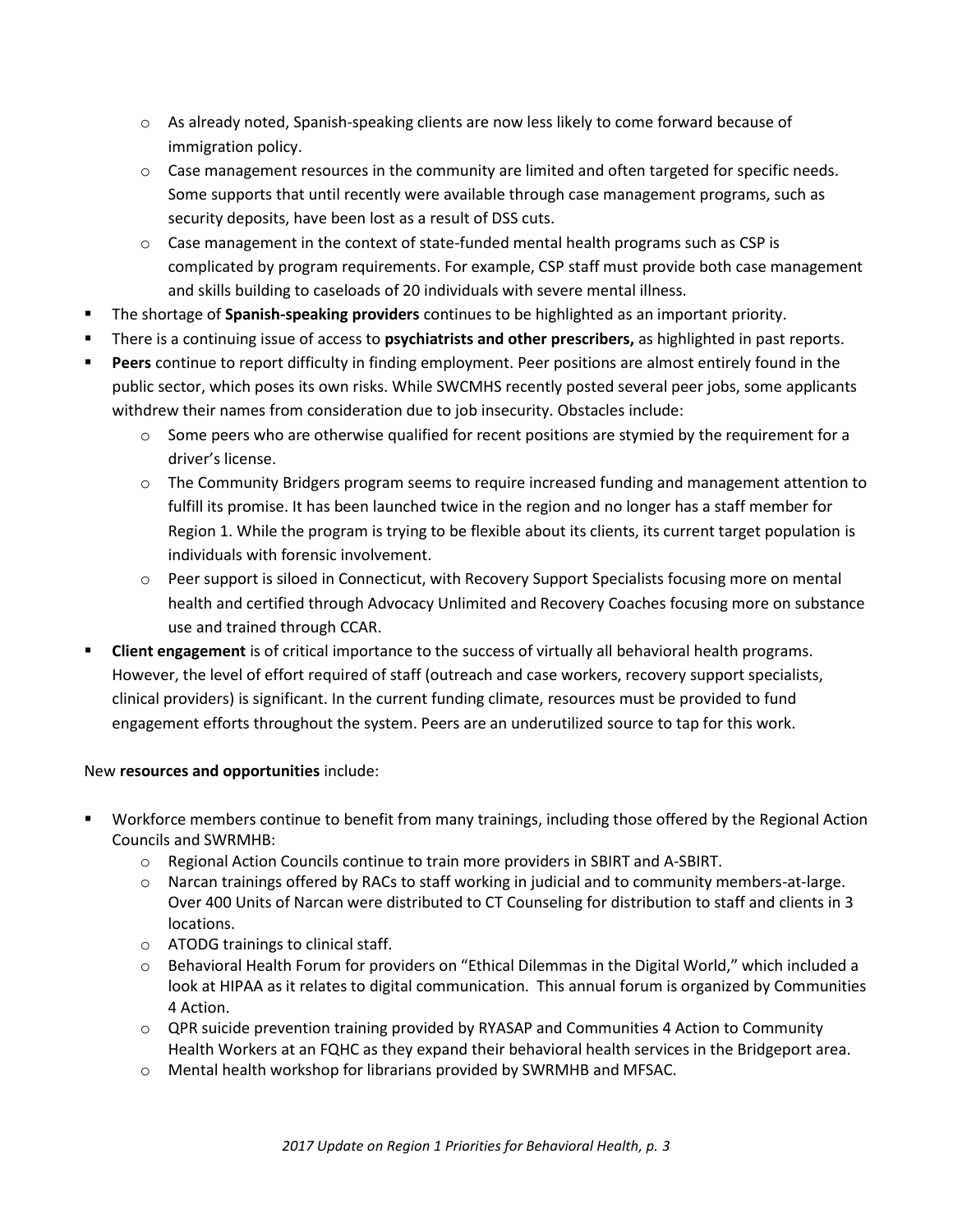- $\circ$  As already noted, Spanish-speaking clients are now less likely to come forward because of immigration policy.
- $\circ$  Case management resources in the community are limited and often targeted for specific needs. Some supports that until recently were available through case management programs, such as security deposits, have been lost as a result of DSS cuts.
- $\circ$  Case management in the context of state-funded mental health programs such as CSP is complicated by program requirements. For example, CSP staff must provide both case management and skills building to caseloads of 20 individuals with severe mental illness.
- The shortage of **Spanish-speaking providers** continues to be highlighted as an important priority.
- There is a continuing issue of access to **psychiatrists and other prescribers,** as highlighted in past reports.
- **Peers** continue to report difficulty in finding employment. Peer positions are almost entirely found in the public sector, which poses its own risks. While SWCMHS recently posted several peer jobs, some applicants withdrew their names from consideration due to job insecurity. Obstacles include:
	- $\circ$  Some peers who are otherwise qualified for recent positions are stymied by the requirement for a driver's license.
	- $\circ$  The Community Bridgers program seems to require increased funding and management attention to fulfill its promise. It has been launched twice in the region and no longer has a staff member for Region 1. While the program is trying to be flexible about its clients, its current target population is individuals with forensic involvement.
	- o Peer support is siloed in Connecticut, with Recovery Support Specialists focusing more on mental health and certified through Advocacy Unlimited and Recovery Coaches focusing more on substance use and trained through CCAR.
- **Client engagement** is of critical importance to the success of virtually all behavioral health programs. However, the level of effort required of staff (outreach and case workers, recovery support specialists, clinical providers) is significant. In the current funding climate, resources must be provided to fund engagement efforts throughout the system. Peers are an underutilized source to tap for this work.

#### New **resources and opportunities** include:

- Workforce members continue to benefit from many trainings, including those offered by the Regional Action Councils and SWRMHB:
	- $\circ$  Regional Action Councils continue to train more providers in SBIRT and A-SBIRT.
	- o Narcan trainings offered by RACs to staff working in judicial and to community members-at-large. Over 400 Units of Narcan were distributed to CT Counseling for distribution to staff and clients in 3 locations.
	- o ATODG trainings to clinical staff.
	- o Behavioral Health Forum for providers on "Ethical Dilemmas in the Digital World," which included a look at HIPAA as it relates to digital communication. This annual forum is organized by Communities 4 Action.
	- $\circ$  QPR suicide prevention training provided by RYASAP and Communities 4 Action to Community Health Workers at an FQHC as they expand their behavioral health services in the Bridgeport area.
	- o Mental health workshop for librarians provided by SWRMHB and MFSAC.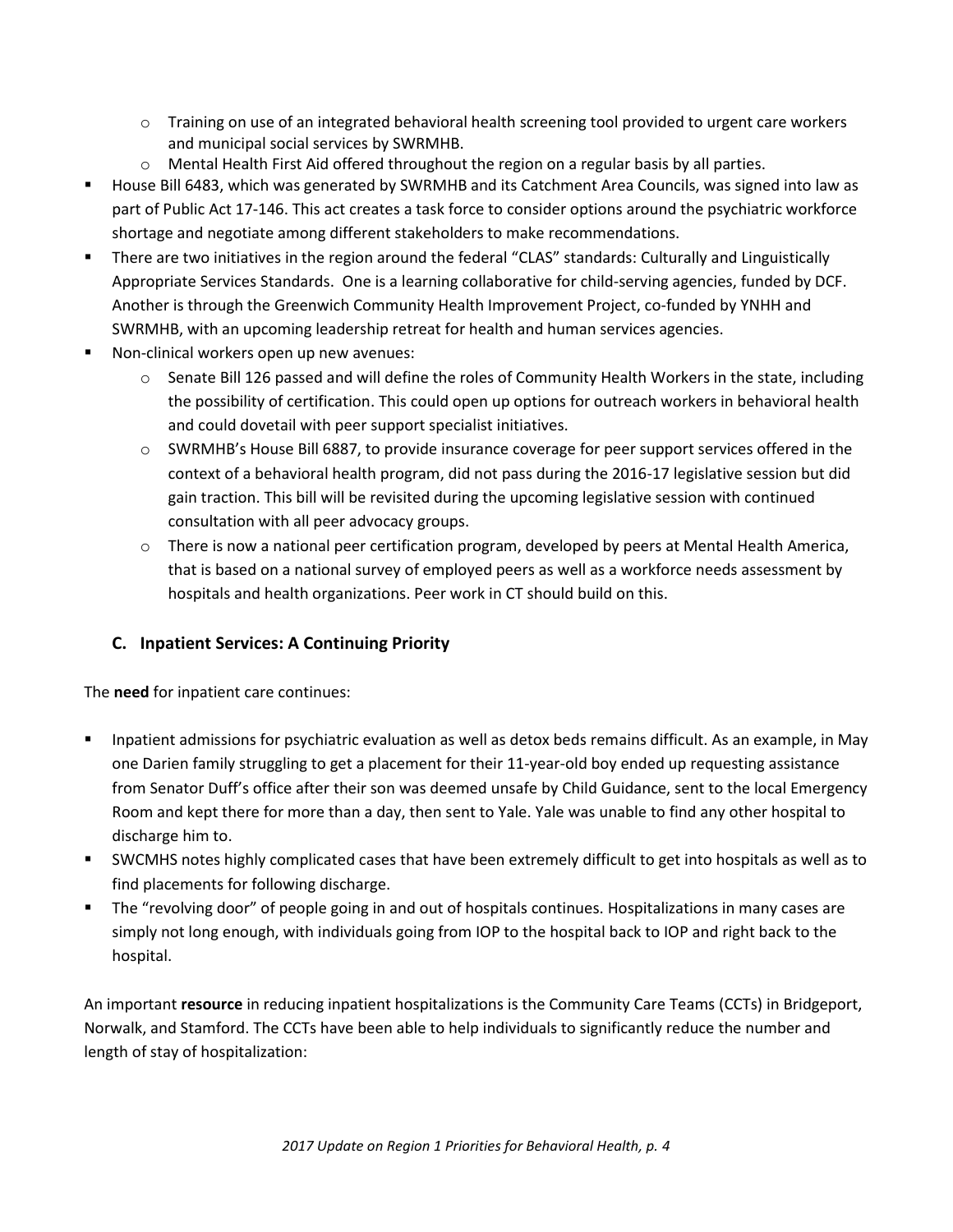- $\circ$  Training on use of an integrated behavioral health screening tool provided to urgent care workers and municipal social services by SWRMHB.
- $\circ$  Mental Health First Aid offered throughout the region on a regular basis by all parties.
- House Bill 6483, which was generated by SWRMHB and its Catchment Area Councils, was signed into law as part of Public Act 17-146. This act creates a task force to consider options around the psychiatric workforce shortage and negotiate among different stakeholders to make recommendations.
- There are two initiatives in the region around the federal "CLAS" standards: Culturally and Linguistically Appropriate Services Standards. One is a learning collaborative for child-serving agencies, funded by DCF. Another is through the Greenwich Community Health Improvement Project, co-funded by YNHH and SWRMHB, with an upcoming leadership retreat for health and human services agencies.
- Non-clinical workers open up new avenues:
	- $\circ$  Senate Bill 126 passed and will define the roles of Community Health Workers in the state, including the possibility of certification. This could open up options for outreach workers in behavioral health and could dovetail with peer support specialist initiatives.
	- o SWRMHB's House Bill 6887, to provide insurance coverage for peer support services offered in the context of a behavioral health program, did not pass during the 2016-17 legislative session but did gain traction. This bill will be revisited during the upcoming legislative session with continued consultation with all peer advocacy groups.
	- $\circ$  There is now a national peer certification program, developed by peers at Mental Health America, that is based on a national survey of employed peers as well as a workforce needs assessment by hospitals and health organizations. Peer work in CT should build on this.

#### **C. Inpatient Services: A Continuing Priority**

The **need** for inpatient care continues:

- Inpatient admissions for psychiatric evaluation as well as detox beds remains difficult. As an example, in May one Darien family struggling to get a placement for their 11-year-old boy ended up requesting assistance from Senator Duff's office after their son was deemed unsafe by Child Guidance, sent to the local Emergency Room and kept there for more than a day, then sent to Yale. Yale was unable to find any other hospital to discharge him to.
- SWCMHS notes highly complicated cases that have been extremely difficult to get into hospitals as well as to find placements for following discharge.
- The "revolving door" of people going in and out of hospitals continues. Hospitalizations in many cases are simply not long enough, with individuals going from IOP to the hospital back to IOP and right back to the hospital.

An important **resource** in reducing inpatient hospitalizations is the Community Care Teams (CCTs) in Bridgeport, Norwalk, and Stamford. The CCTs have been able to help individuals to significantly reduce the number and length of stay of hospitalization: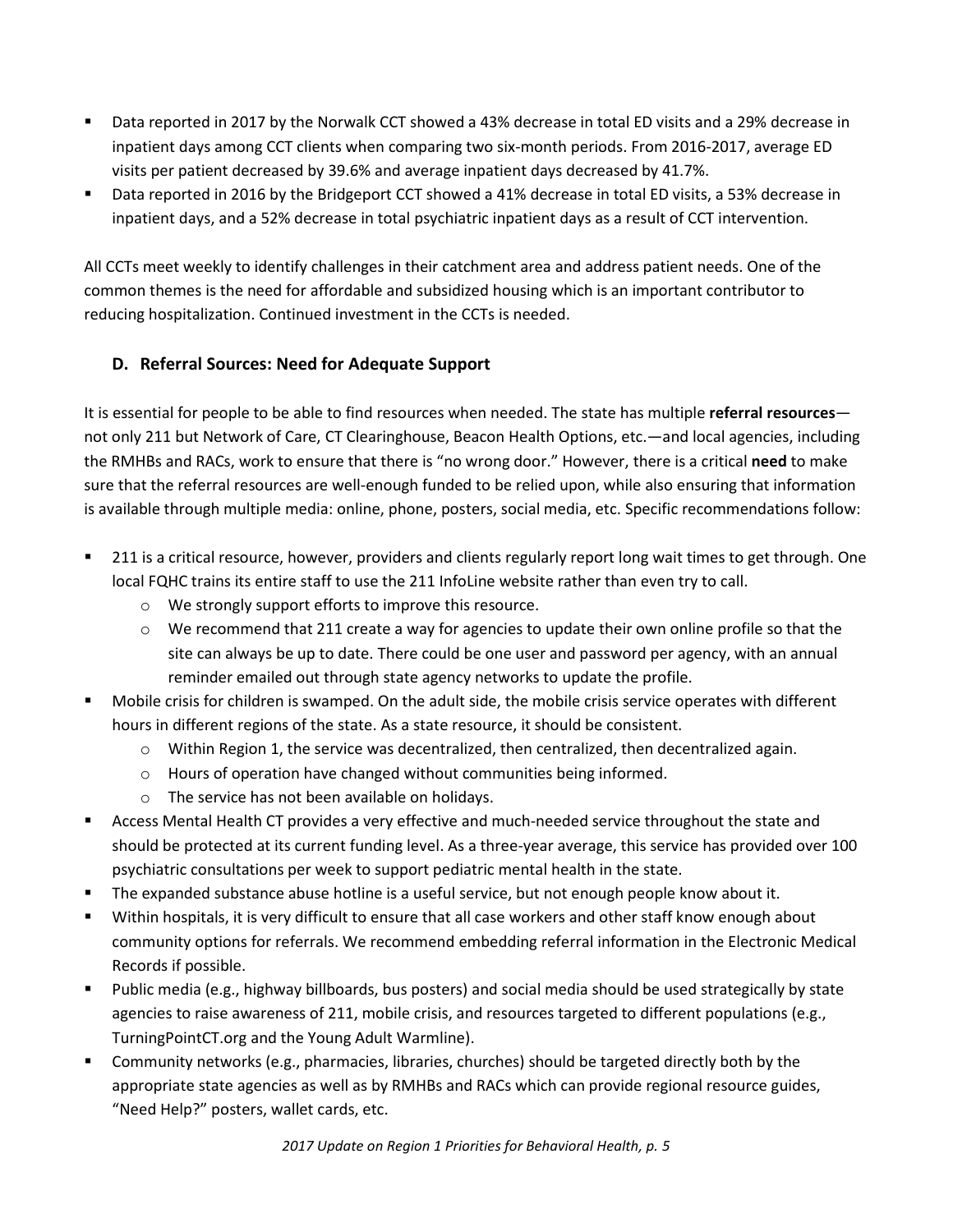- Data reported in 2017 by the Norwalk CCT showed a 43% decrease in total ED visits and a 29% decrease in inpatient days among CCT clients when comparing two six-month periods. From 2016-2017, average ED visits per patient decreased by 39.6% and average inpatient days decreased by 41.7%.
- Data reported in 2016 by the Bridgeport CCT showed a 41% decrease in total ED visits, a 53% decrease in inpatient days, and a 52% decrease in total psychiatric inpatient days as a result of CCT intervention.

All CCTs meet weekly to identify challenges in their catchment area and address patient needs. One of the common themes is the need for affordable and subsidized housing which is an important contributor to reducing hospitalization. Continued investment in the CCTs is needed.

#### **D. Referral Sources: Need for Adequate Support**

It is essential for people to be able to find resources when needed. The state has multiple **referral resources** not only 211 but Network of Care, CT Clearinghouse, Beacon Health Options, etc.—and local agencies, including the RMHBs and RACs, work to ensure that there is "no wrong door." However, there is a critical **need** to make sure that the referral resources are well-enough funded to be relied upon, while also ensuring that information is available through multiple media: online, phone, posters, social media, etc. Specific recommendations follow:

- 211 is a critical resource, however, providers and clients regularly report long wait times to get through. One local FQHC trains its entire staff to use the 211 InfoLine website rather than even try to call.
	- o We strongly support efforts to improve this resource.
	- $\circ$  We recommend that 211 create a way for agencies to update their own online profile so that the site can always be up to date. There could be one user and password per agency, with an annual reminder emailed out through state agency networks to update the profile.
- Mobile crisis for children is swamped. On the adult side, the mobile crisis service operates with different hours in different regions of the state. As a state resource, it should be consistent.
	- o Within Region 1, the service was decentralized, then centralized, then decentralized again.
	- o Hours of operation have changed without communities being informed.
	- o The service has not been available on holidays.
- Access Mental Health CT provides a very effective and much-needed service throughout the state and should be protected at its current funding level. As a three-year average, this service has provided over 100 psychiatric consultations per week to support pediatric mental health in the state.
- The expanded substance abuse hotline is a useful service, but not enough people know about it.
- Within hospitals, it is very difficult to ensure that all case workers and other staff know enough about community options for referrals. We recommend embedding referral information in the Electronic Medical Records if possible.
- Public media (e.g., highway billboards, bus posters) and social media should be used strategically by state agencies to raise awareness of 211, mobile crisis, and resources targeted to different populations (e.g., TurningPointCT.org and the Young Adult Warmline).
- Community networks (e.g., pharmacies, libraries, churches) should be targeted directly both by the appropriate state agencies as well as by RMHBs and RACs which can provide regional resource guides, "Need Help?" posters, wallet cards, etc.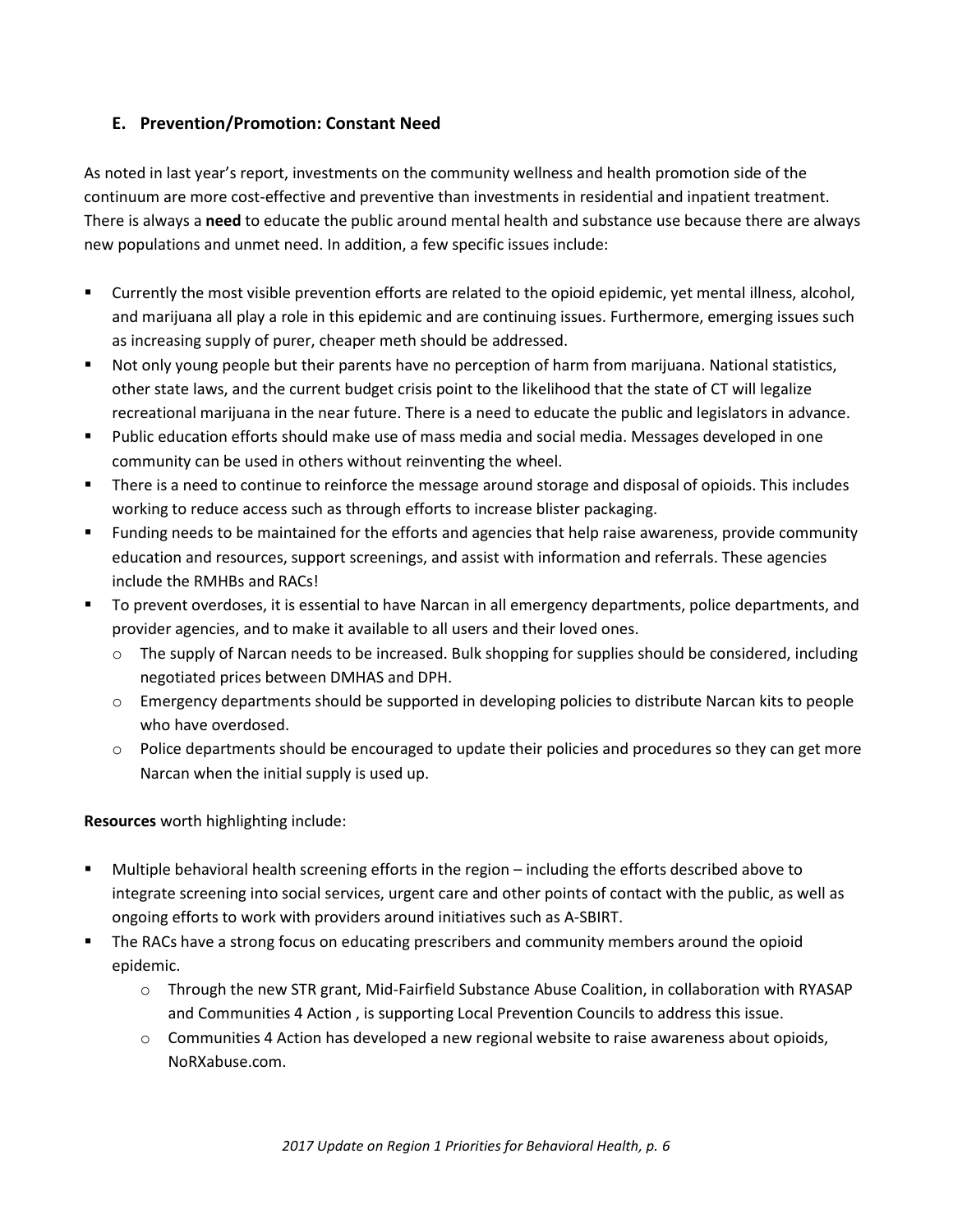#### **E. Prevention/Promotion: Constant Need**

As noted in last year's report, investments on the community wellness and health promotion side of the continuum are more cost-effective and preventive than investments in residential and inpatient treatment. There is always a **need** to educate the public around mental health and substance use because there are always new populations and unmet need. In addition, a few specific issues include:

- Currently the most visible prevention efforts are related to the opioid epidemic, yet mental illness, alcohol, and marijuana all play a role in this epidemic and are continuing issues. Furthermore, emerging issues such as increasing supply of purer, cheaper meth should be addressed.
- Not only young people but their parents have no perception of harm from marijuana. National statistics, other state laws, and the current budget crisis point to the likelihood that the state of CT will legalize recreational marijuana in the near future. There is a need to educate the public and legislators in advance.
- Public education efforts should make use of mass media and social media. Messages developed in one community can be used in others without reinventing the wheel.
- There is a need to continue to reinforce the message around storage and disposal of opioids. This includes working to reduce access such as through efforts to increase blister packaging.
- Funding needs to be maintained for the efforts and agencies that help raise awareness, provide community education and resources, support screenings, and assist with information and referrals. These agencies include the RMHBs and RACs!
- To prevent overdoses, it is essential to have Narcan in all emergency departments, police departments, and provider agencies, and to make it available to all users and their loved ones.
	- o The supply of Narcan needs to be increased. Bulk shopping for supplies should be considered, including negotiated prices between DMHAS and DPH.
	- o Emergency departments should be supported in developing policies to distribute Narcan kits to people who have overdosed.
	- o Police departments should be encouraged to update their policies and procedures so they can get more Narcan when the initial supply is used up.

**Resources** worth highlighting include:

- Multiple behavioral health screening efforts in the region including the efforts described above to integrate screening into social services, urgent care and other points of contact with the public, as well as ongoing efforts to work with providers around initiatives such as A-SBIRT.
- The RACs have a strong focus on educating prescribers and community members around the opioid epidemic.
	- o Through the new STR grant, Mid-Fairfield Substance Abuse Coalition, in collaboration with RYASAP and Communities 4 Action , is supporting Local Prevention Councils to address this issue.
	- o Communities 4 Action has developed a new regional website to raise awareness about opioids, NoRXabuse.com.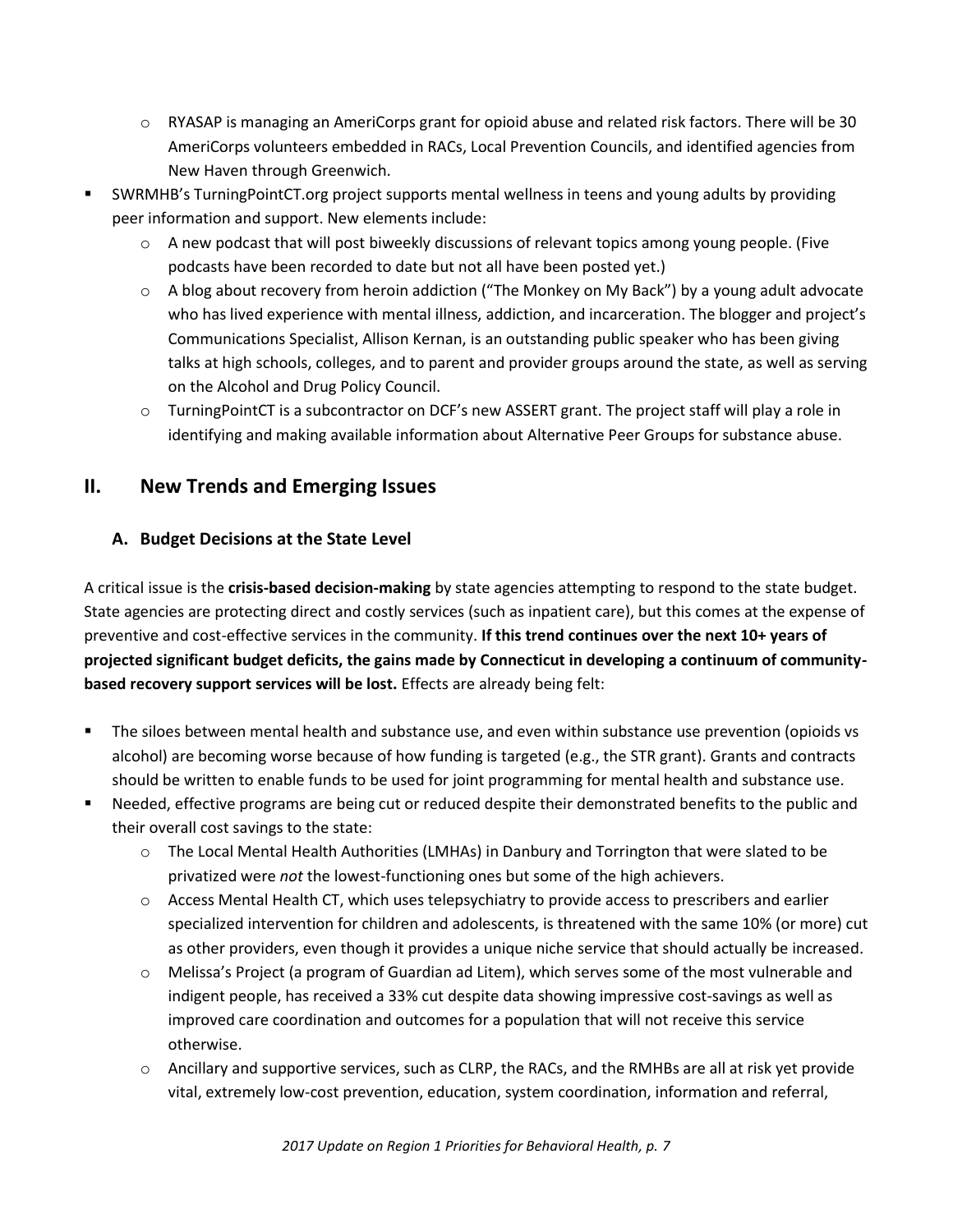- $\circ$  RYASAP is managing an AmeriCorps grant for opioid abuse and related risk factors. There will be 30 AmeriCorps volunteers embedded in RACs, Local Prevention Councils, and identified agencies from New Haven through Greenwich.
- SWRMHB's TurningPointCT.org project supports mental wellness in teens and young adults by providing peer information and support. New elements include:
	- $\circ$  A new podcast that will post biweekly discussions of relevant topics among young people. (Five podcasts have been recorded to date but not all have been posted yet.)
	- o A blog about recovery from heroin addiction ("The Monkey on My Back") by a young adult advocate who has lived experience with mental illness, addiction, and incarceration. The blogger and project's Communications Specialist, Allison Kernan, is an outstanding public speaker who has been giving talks at high schools, colleges, and to parent and provider groups around the state, as well as serving on the Alcohol and Drug Policy Council.
	- o TurningPointCT is a subcontractor on DCF's new ASSERT grant. The project staff will play a role in identifying and making available information about Alternative Peer Groups for substance abuse.

# **II. New Trends and Emerging Issues**

## **A. Budget Decisions at the State Level**

A critical issue is the **crisis-based decision-making** by state agencies attempting to respond to the state budget. State agencies are protecting direct and costly services (such as inpatient care), but this comes at the expense of preventive and cost-effective services in the community. **If this trend continues over the next 10+ years of projected significant budget deficits, the gains made by Connecticut in developing a continuum of communitybased recovery support services will be lost.** Effects are already being felt:

- The siloes between mental health and substance use, and even within substance use prevention (opioids vs alcohol) are becoming worse because of how funding is targeted (e.g., the STR grant). Grants and contracts should be written to enable funds to be used for joint programming for mental health and substance use.
- Needed, effective programs are being cut or reduced despite their demonstrated benefits to the public and their overall cost savings to the state:
	- o The Local Mental Health Authorities (LMHAs) in Danbury and Torrington that were slated to be privatized were *not* the lowest-functioning ones but some of the high achievers.
	- o Access Mental Health CT, which uses telepsychiatry to provide access to prescribers and earlier specialized intervention for children and adolescents, is threatened with the same 10% (or more) cut as other providers, even though it provides a unique niche service that should actually be increased.
	- o Melissa's Project (a program of Guardian ad Litem), which serves some of the most vulnerable and indigent people, has received a 33% cut despite data showing impressive cost-savings as well as improved care coordination and outcomes for a population that will not receive this service otherwise.
	- o Ancillary and supportive services, such as CLRP, the RACs, and the RMHBs are all at risk yet provide vital, extremely low-cost prevention, education, system coordination, information and referral,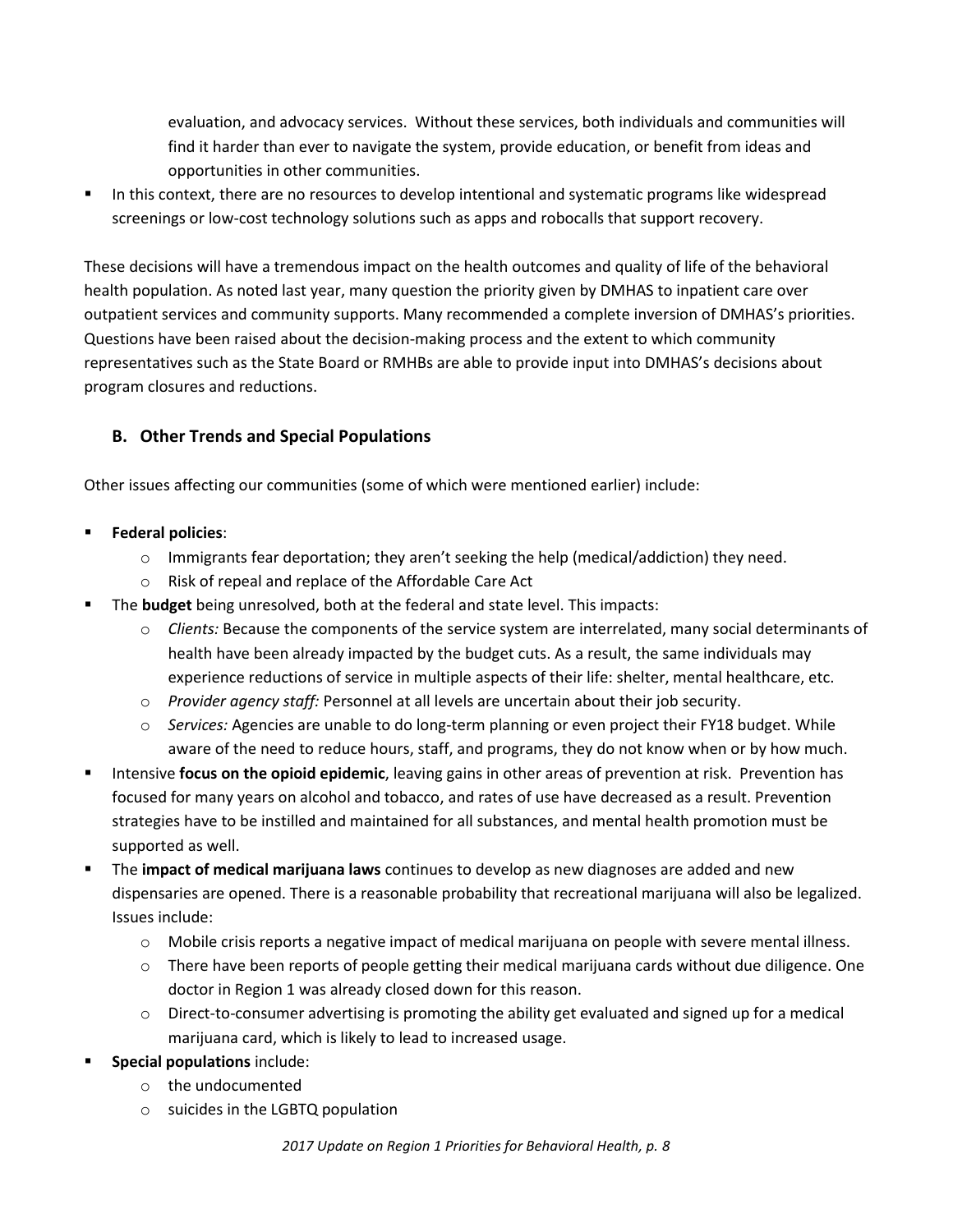evaluation, and advocacy services. Without these services, both individuals and communities will find it harder than ever to navigate the system, provide education, or benefit from ideas and opportunities in other communities.

 In this context, there are no resources to develop intentional and systematic programs like widespread screenings or low-cost technology solutions such as apps and robocalls that support recovery.

These decisions will have a tremendous impact on the health outcomes and quality of life of the behavioral health population. As noted last year, many question the priority given by DMHAS to inpatient care over outpatient services and community supports. Many recommended a complete inversion of DMHAS's priorities. Questions have been raised about the decision-making process and the extent to which community representatives such as the State Board or RMHBs are able to provide input into DMHAS's decisions about program closures and reductions.

#### **B. Other Trends and Special Populations**

Other issues affecting our communities (some of which were mentioned earlier) include:

- **Federal policies**:
	- $\circ$  Immigrants fear deportation; they aren't seeking the help (medical/addiction) they need.
	- o Risk of repeal and replace of the Affordable Care Act
- The **budget** being unresolved, both at the federal and state level. This impacts:
	- o *Clients:* Because the components of the service system are interrelated, many social determinants of health have been already impacted by the budget cuts. As a result, the same individuals may experience reductions of service in multiple aspects of their life: shelter, mental healthcare, etc.
	- o *Provider agency staff:* Personnel at all levels are uncertain about their job security.
	- o *Services:* Agencies are unable to do long-term planning or even project their FY18 budget. While aware of the need to reduce hours, staff, and programs, they do not know when or by how much.
- Intensive **focus on the opioid epidemic**, leaving gains in other areas of prevention at risk. Prevention has focused for many years on alcohol and tobacco, and rates of use have decreased as a result. Prevention strategies have to be instilled and maintained for all substances, and mental health promotion must be supported as well.
- The **impact of medical marijuana laws** continues to develop as new diagnoses are added and new dispensaries are opened. There is a reasonable probability that recreational marijuana will also be legalized. Issues include:
	- o Mobile crisis reports a negative impact of medical marijuana on people with severe mental illness.
	- o There have been reports of people getting their medical marijuana cards without due diligence. One doctor in Region 1 was already closed down for this reason.
	- $\circ$  Direct-to-consumer advertising is promoting the ability get evaluated and signed up for a medical marijuana card, which is likely to lead to increased usage.
- **Special populations** include:
	- o the undocumented
	- o suicides in the LGBTQ population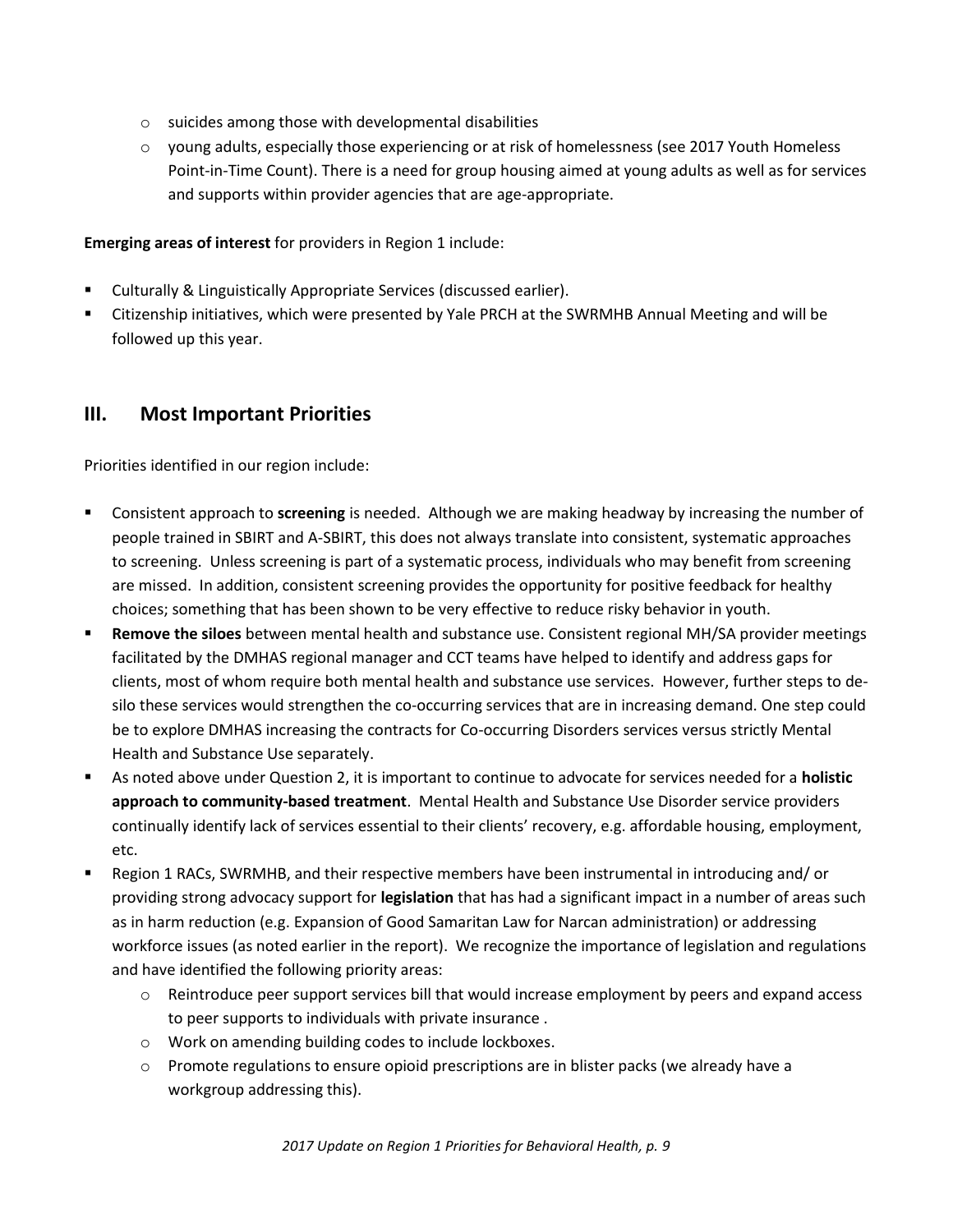- o suicides among those with developmental disabilities
- o young adults, especially those experiencing or at risk of homelessness (see 2017 Youth Homeless Point-in-Time Count). There is a need for group housing aimed at young adults as well as for services and supports within provider agencies that are age-appropriate.

**Emerging areas of interest** for providers in Region 1 include:

- Culturally & Linguistically Appropriate Services (discussed earlier).
- Citizenship initiatives, which were presented by Yale PRCH at the SWRMHB Annual Meeting and will be followed up this year.

## **III. Most Important Priorities**

Priorities identified in our region include:

- Consistent approach to **screening** is needed. Although we are making headway by increasing the number of people trained in SBIRT and A-SBIRT, this does not always translate into consistent, systematic approaches to screening. Unless screening is part of a systematic process, individuals who may benefit from screening are missed. In addition, consistent screening provides the opportunity for positive feedback for healthy choices; something that has been shown to be very effective to reduce risky behavior in youth.
- **Remove the siloes** between mental health and substance use. Consistent regional MH/SA provider meetings facilitated by the DMHAS regional manager and CCT teams have helped to identify and address gaps for clients, most of whom require both mental health and substance use services. However, further steps to desilo these services would strengthen the co-occurring services that are in increasing demand. One step could be to explore DMHAS increasing the contracts for Co-occurring Disorders services versus strictly Mental Health and Substance Use separately.
- As noted above under Question 2, it is important to continue to advocate for services needed for a **holistic approach to community-based treatment**. Mental Health and Substance Use Disorder service providers continually identify lack of services essential to their clients' recovery, e.g. affordable housing, employment, etc.
- Region 1 RACs, SWRMHB, and their respective members have been instrumental in introducing and/ or providing strong advocacy support for **legislation** that has had a significant impact in a number of areas such as in harm reduction (e.g. Expansion of Good Samaritan Law for Narcan administration) or addressing workforce issues (as noted earlier in the report). We recognize the importance of legislation and regulations and have identified the following priority areas:
	- $\circ$  Reintroduce peer support services bill that would increase employment by peers and expand access to peer supports to individuals with private insurance .
	- o Work on amending building codes to include lockboxes.
	- o Promote regulations to ensure opioid prescriptions are in blister packs (we already have a workgroup addressing this).